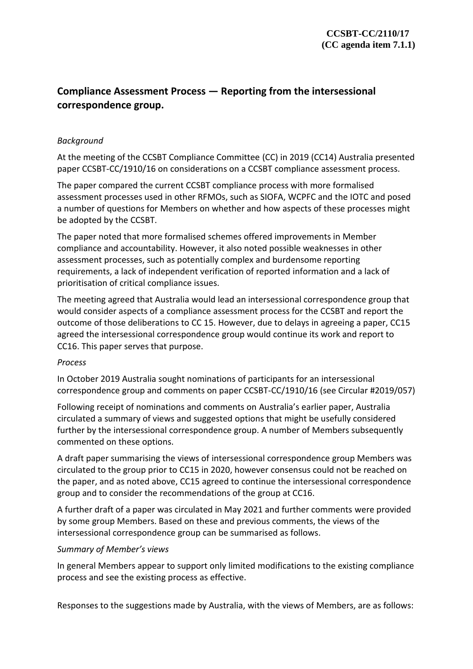# **Compliance Assessment Process — Reporting from the intersessional correspondence group.**

## *Background*

At the meeting of the CCSBT Compliance Committee (CC) in 2019 (CC14) Australia presented paper CCSBT-CC/1910/16 on considerations on a CCSBT compliance assessment process.

The paper compared the current CCSBT compliance process with more formalised assessment processes used in other RFMOs, such as SIOFA, WCPFC and the IOTC and posed a number of questions for Members on whether and how aspects of these processes might be adopted by the CCSBT.

The paper noted that more formalised schemes offered improvements in Member compliance and accountability. However, it also noted possible weaknesses in other assessment processes, such as potentially complex and burdensome reporting requirements, a lack of independent verification of reported information and a lack of prioritisation of critical compliance issues.

The meeting agreed that Australia would lead an intersessional correspondence group that would consider aspects of a compliance assessment process for the CCSBT and report the outcome of those deliberations to CC 15. However, due to delays in agreeing a paper, CC15 agreed the intersessional correspondence group would continue its work and report to CC16. This paper serves that purpose.

### *Process*

In October 2019 Australia sought nominations of participants for an intersessional correspondence group and comments on paper CCSBT-CC/1910/16 (see Circular #2019/057)

Following receipt of nominations and comments on Australia's earlier paper, Australia circulated a summary of views and suggested options that might be usefully considered further by the intersessional correspondence group. A number of Members subsequently commented on these options.

A draft paper summarising the views of intersessional correspondence group Members was circulated to the group prior to CC15 in 2020, however consensus could not be reached on the paper, and as noted above, CC15 agreed to continue the intersessional correspondence group and to consider the recommendations of the group at CC16.

A further draft of a paper was circulated in May 2021 and further comments were provided by some group Members. Based on these and previous comments, the views of the intersessional correspondence group can be summarised as follows.

### *Summary of Member's views*

In general Members appear to support only limited modifications to the existing compliance process and see the existing process as effective.

Responses to the suggestions made by Australia, with the views of Members, are as follows: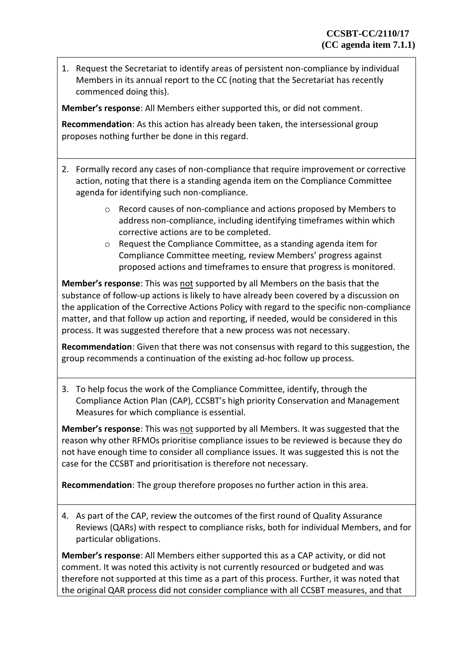1. Request the Secretariat to identify areas of persistent non-compliance by individual Members in its annual report to the CC (noting that the Secretariat has recently commenced doing this).

**Member's response**: All Members either supported this, or did not comment.

**Recommendation**: As this action has already been taken, the intersessional group proposes nothing further be done in this regard.

- 2. Formally record any cases of non-compliance that require improvement or corrective action, noting that there is a standing agenda item on the Compliance Committee agenda for identifying such non-compliance.
	- o Record causes of non-compliance and actions proposed by Members to address non-compliance, including identifying timeframes within which corrective actions are to be completed.
	- o Request the Compliance Committee, as a standing agenda item for Compliance Committee meeting, review Members' progress against proposed actions and timeframes to ensure that progress is monitored.

**Member's response**: This was not supported by all Members on the basis that the substance of follow-up actions is likely to have already been covered by a discussion on the application of the Corrective Actions Policy with regard to the specific non-compliance matter, and that follow up action and reporting, if needed, would be considered in this process. It was suggested therefore that a new process was not necessary.

**Recommendation**: Given that there was not consensus with regard to this suggestion, the group recommends a continuation of the existing ad-hoc follow up process.

3. To help focus the work of the Compliance Committee, identify, through the Compliance Action Plan (CAP), CCSBT's high priority Conservation and Management Measures for which compliance is essential.

**Member's response**: This was not supported by all Members. It was suggested that the reason why other RFMOs prioritise compliance issues to be reviewed is because they do not have enough time to consider all compliance issues. It was suggested this is not the case for the CCSBT and prioritisation is therefore not necessary.

**Recommendation**: The group therefore proposes no further action in this area.

4. As part of the CAP, review the outcomes of the first round of Quality Assurance Reviews (QARs) with respect to compliance risks, both for individual Members, and for particular obligations.

**Member's response**: All Members either supported this as a CAP activity, or did not comment. It was noted this activity is not currently resourced or budgeted and was therefore not supported at this time as a part of this process. Further, it was noted that the original QAR process did not consider compliance with all CCSBT measures, and that